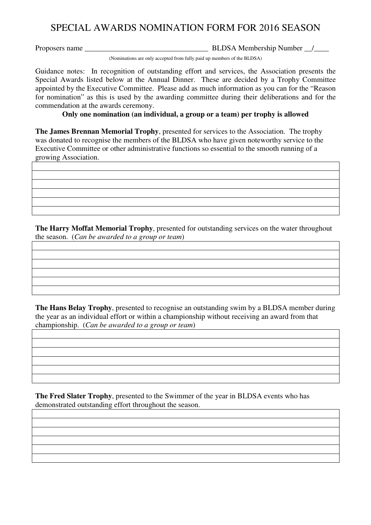## SPECIAL AWARDS NOMINATION FORM FOR 2016 SEASON

Proposers name \_\_\_\_\_\_\_\_\_\_\_\_\_\_\_\_\_\_\_\_\_\_\_\_\_\_\_\_\_\_\_\_\_ BLDSA Membership Number \_\_/\_\_\_\_

(Nominations are only accepted from fully paid up members of the BLDSA)

Guidance notes: In recognition of outstanding effort and services, the Association presents the Special Awards listed below at the Annual Dinner. These are decided by a Trophy Committee appointed by the Executive Committee. Please add as much information as you can for the "Reason for nomination" as this is used by the awarding committee during their deliberations and for the commendation at the awards ceremony.

## **Only one nomination (an individual, a group or a team) per trophy is allowed**

**The James Brennan Memorial Trophy**, presented for services to the Association. The trophy was donated to recognise the members of the BLDSA who have given noteworthy service to the Executive Committee or other administrative functions so essential to the smooth running of a growing Association.

**The Harry Moffat Memorial Trophy**, presented for outstanding services on the water throughout the season. (*Can be awarded to a group or team*)

**The Hans Belay Trophy**, presented to recognise an outstanding swim by a BLDSA member during the year as an individual effort or within a championship without receiving an award from that championship. (*Can be awarded to a group or team*)

**The Fred Slater Trophy**, presented to the Swimmer of the year in BLDSA events who has demonstrated outstanding effort throughout the season.